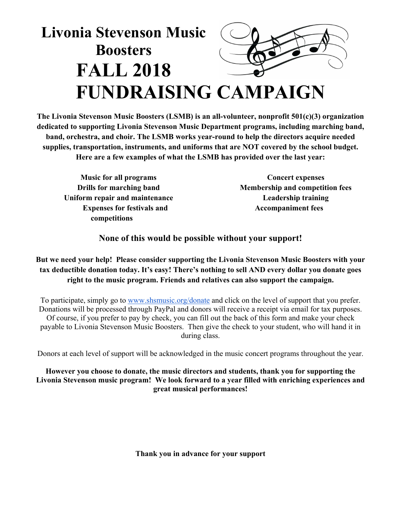## **Livonia Stevenson Music Boosters FALL 2018 FUNDRAISING CAMPAIGN**

**The Livonia Stevenson Music Boosters (LSMB) is an all-volunteer, nonprofit 501(c)(3) organization dedicated to supporting Livonia Stevenson Music Department programs, including marching band, band, orchestra, and choir. The LSMB works year-round to help the directors acquire needed supplies, transportation, instruments, and uniforms that are NOT covered by the school budget. Here are a few examples of what the LSMB has provided over the last year:**

 **Music for all programs Drills for marching band Uniform repair and maintenance Expenses for festivals and competitions**

 **Concert expenses Membership and competition fees Leadership training Accompaniment fees**

**None of this would be possible without your support!**

**But we need your help! Please consider supporting the Livonia Stevenson Music Boosters with your tax deductible donation today. It's easy! There's nothing to sell AND every dollar you donate goes right to the music program. Friends and relatives can also support the campaign.**

To participate, simply go to www.shsmusic.org/donate and click on the level of support that you prefer. Donations will be processed through PayPal and donors will receive a receipt via email for tax purposes. Of course, if you prefer to pay by check, you can fill out the back of this form and make your check payable to Livonia Stevenson Music Boosters. Then give the check to your student, who will hand it in during class.

Donors at each level of support will be acknowledged in the music concert programs throughout the year.

**However you choose to donate, the music directors and students, thank you for supporting the Livonia Stevenson music program! We look forward to a year filled with enriching experiences and great musical performances!** 

**Thank you in advance for your support**